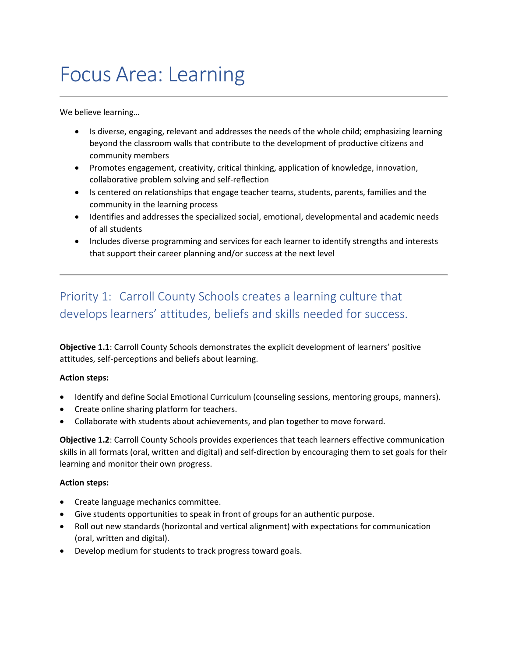# Focus Area: Learning

We believe learning…

- Is diverse, engaging, relevant and addresses the needs of the whole child; emphasizing learning beyond the classroom walls that contribute to the development of productive citizens and community members
- Promotes engagement, creativity, critical thinking, application of knowledge, innovation, collaborative problem solving and self-reflection
- Is centered on relationships that engage teacher teams, students, parents, families and the community in the learning process
- Identifies and addresses the specialized social, emotional, developmental and academic needs of all students
- Includes diverse programming and services for each learner to identify strengths and interests that support their career planning and/or success at the next level

### Priority 1: Carroll County Schools creates a learning culture that develops learners' attitudes, beliefs and skills needed for success.

**Objective 1.1**: Carroll County Schools demonstrates the explicit development of learners' positive attitudes, self-perceptions and beliefs about learning.

#### **Action steps:**

- Identify and define Social Emotional Curriculum (counseling sessions, mentoring groups, manners).
- Create online sharing platform for teachers.
- Collaborate with students about achievements, and plan together to move forward.

**Objective 1.2**: Carroll County Schools provides experiences that teach learners effective communication skills in all formats (oral, written and digital) and self-direction by encouraging them to set goals for their learning and monitor their own progress.

#### **Action steps:**

- Create language mechanics committee.
- Give students opportunities to speak in front of groups for an authentic purpose.
- Roll out new standards (horizontal and vertical alignment) with expectations for communication (oral, written and digital).
- Develop medium for students to track progress toward goals.